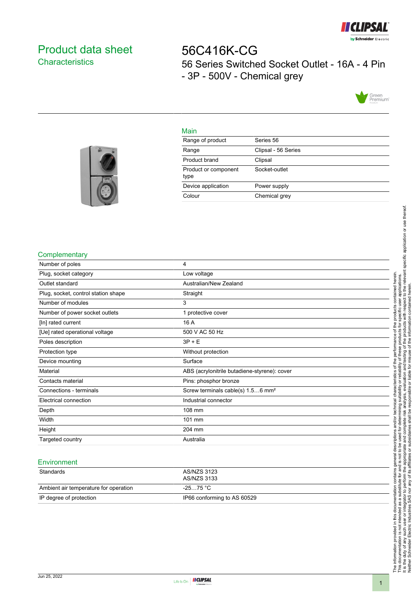

# <span id="page-0-0"></span>Product data sheet **Characteristics**

56C416K-CG 56 Series Switched Socket Outlet - 16A - 4 Pin - 3P - 500V - Chemical grey



### Main

| Range of product             | Series 56           |
|------------------------------|---------------------|
| Range                        | Clipsal - 56 Series |
| Product brand                | Clipsal             |
| Product or component<br>type | Socket-outlet       |
| Device application           | Power supply        |
| Colour                       | Chemical grey       |
|                              |                     |



### **Complementary**

| Number of poles                     | 4                                             |
|-------------------------------------|-----------------------------------------------|
| Plug, socket category               | Low voltage                                   |
| Outlet standard                     | Australian/New Zealand                        |
| Plug, socket, control station shape | Straight                                      |
| Number of modules                   | 3                                             |
| Number of power socket outlets      | 1 protective cover                            |
| [In] rated current                  | 16 A                                          |
| [Ue] rated operational voltage      | 500 V AC 50 Hz                                |
| Poles description                   | $3P + E$                                      |
| Protection type                     | Without protection                            |
| Device mounting                     | Surface                                       |
| Material                            | ABS (acrylonitrile butadiene-styrene): cover  |
| Contacts material                   | Pins: phosphor bronze                         |
| Connections - terminals             | Screw terminals cable(s) 1.56 mm <sup>2</sup> |
| Electrical connection               | Industrial connector                          |
| Depth                               | 108 mm                                        |
| Width                               | 101 mm                                        |
| Height                              | 204 mm                                        |
| Targeted country                    | Australia                                     |
|                                     |                                               |

#### **Environment**

| Standards                             | AS/NZS 3123<br>AS/NZS 3133  |
|---------------------------------------|-----------------------------|
| Ambient air temperature for operation | -25…75 °C                   |
| IP degree of protection               | IP66 conforming to AS 60529 |